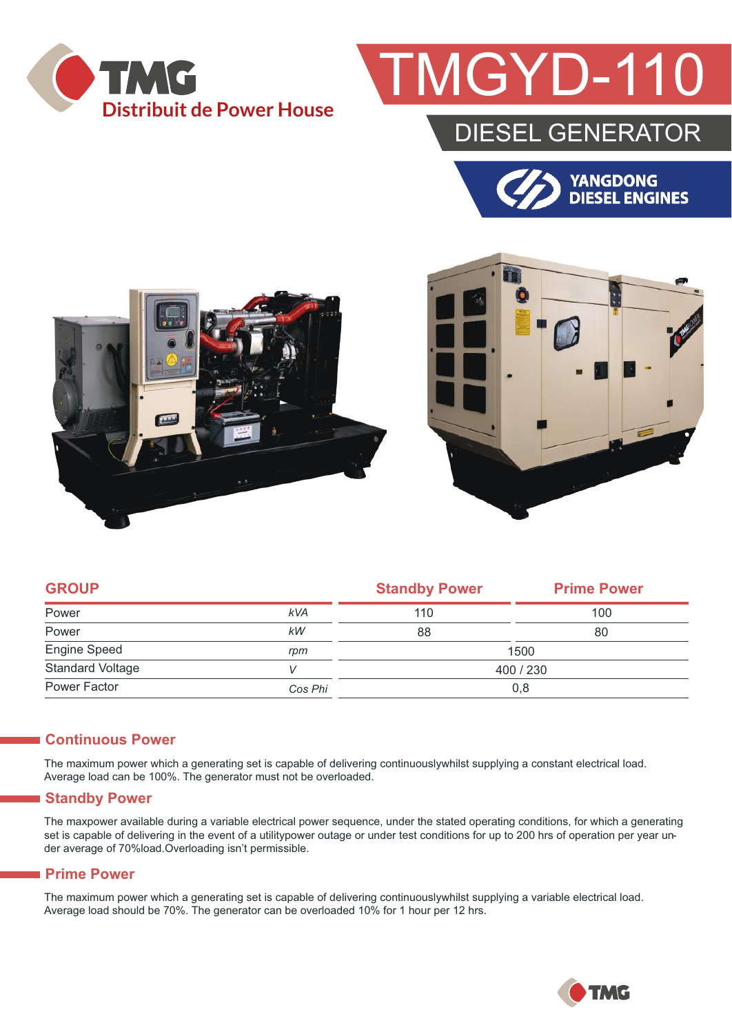

## GYD-1

### DIESEL GENERATOR







| <b>GROUP</b>            |            | <b>Standby Power</b> | <b>Prime Power</b> |  |
|-------------------------|------------|----------------------|--------------------|--|
| Power                   | <b>kVA</b> | 110                  | 100                |  |
| Power                   | kW         | 88                   | 80                 |  |
| Engine Speed            | rpm        | 1500                 |                    |  |
| <b>Standard Voltage</b> | V          | 400 / 230            |                    |  |
| Power Factor            | Cos Phi    | 0,8                  |                    |  |

#### **Continuous Power**

The maximum power which a generating set is capable of delivering continuouslywhilst supplying a constant electrical load. Average load can be 100%. The generator must not be overloaded.

#### **Standby Power**

The maxpower available during a variable electrical power sequence, under the stated operating conditions, for which a generating set is capable of delivering in the event of a utilitypower outage or under test conditions for up to 200 hrs of operation per year under average of 70%load.Overloading isn't permissible.

#### **Prime Power**

The maximum power which a generating set is capable of delivering continuouslywhilst supplying a variable electrical load. Average load should be 70%. The generator can be overloaded 10% for 1 hour per 12 hrs.

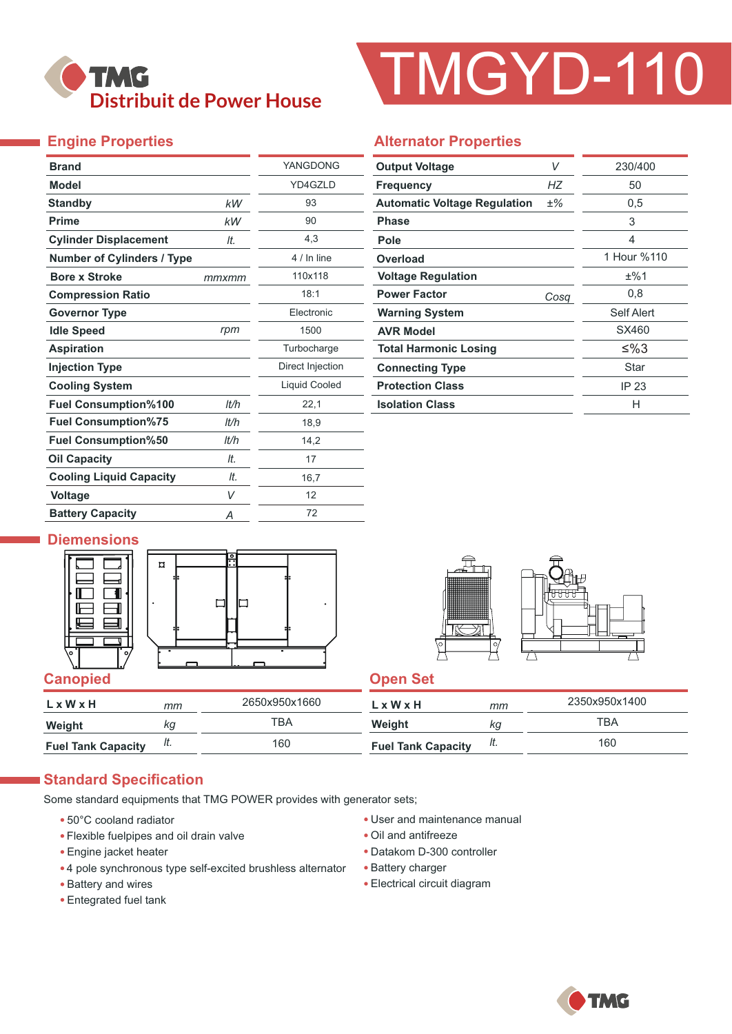

# TMGYD-110

### **Engine Properties**

| <b>Brand</b>                      |       | YANGDONG             |  |  |
|-----------------------------------|-------|----------------------|--|--|
| <b>Model</b>                      |       | YD4GZLD              |  |  |
| <b>Standby</b>                    | kW    | 93                   |  |  |
| <b>Prime</b>                      | kW    | 90                   |  |  |
| <b>Cylinder Displacement</b>      | It.   | 4,3                  |  |  |
| <b>Number of Cylinders / Type</b> |       | 4 / In line          |  |  |
| <b>Bore x Stroke</b>              | mmxmm | 110x118              |  |  |
| <b>Compression Ratio</b>          |       | 18:1                 |  |  |
| <b>Governor Type</b>              |       | <b>Flectronic</b>    |  |  |
| <b>Idle Speed</b>                 | rpm   | 1500                 |  |  |
| <b>Aspiration</b>                 |       | Turbocharge          |  |  |
| <b>Injection Type</b>             |       | Direct Injection     |  |  |
| <b>Cooling System</b>             |       | <b>Liquid Cooled</b> |  |  |
| <b>Fuel Consumption%100</b>       | lt/h  | 22,1                 |  |  |
| <b>Fuel Consumption%75</b>        | lt/h  | 18,9                 |  |  |
| <b>Fuel Consumption%50</b>        | lt/h  | 14,2                 |  |  |
| <b>Oil Capacity</b>               | It.   | 17                   |  |  |
| <b>Cooling Liquid Capacity</b>    | It.   | 16,7                 |  |  |
| <b>Voltage</b>                    | V     | 12                   |  |  |
| <b>Battery Capacity</b>           | Α     | 72                   |  |  |

#### **Alternator Properties**

| <b>Output Voltage</b>               | V     | 230/400     |  |  |
|-------------------------------------|-------|-------------|--|--|
| <b>Frequency</b>                    | НZ    | 50          |  |  |
| <b>Automatic Voltage Regulation</b> | $±\%$ | 0,5         |  |  |
| <b>Phase</b>                        |       | 3           |  |  |
| Pole                                |       | 4           |  |  |
| Overload                            |       | 1 Hour %110 |  |  |
| <b>Voltage Regulation</b>           |       | ±%1         |  |  |
| <b>Power Factor</b>                 | Cosq  | 0,8         |  |  |
| <b>Warning System</b>               |       | Self Alert  |  |  |
| <b>AVR Model</b>                    |       | SX460       |  |  |
| <b>Total Harmonic Losing</b>        |       | ≤%3         |  |  |
| <b>Connecting Type</b>              |       | Star        |  |  |
| <b>Protection Class</b>             |       | IP 23       |  |  |
| <b>Isolation Class</b>              |       | н           |  |  |

#### **Diemensions**





| L x W x H                 | mт | 2650x950x1660 | $L \times W \times H$     | mm  | 2350x950x1400 |
|---------------------------|----|---------------|---------------------------|-----|---------------|
| Weight                    | Кg | TBA           | Weight                    | Кg  | TBA           |
| <b>Fuel Tank Capacity</b> | н. | 160           | <b>Fuel Tank Capacity</b> | It. | 160           |

#### **Standard Specification**

Some standard equipments that TMG POWER provides with generator sets;

- 50°C cooland radiator
- Flexible fuelpipes and oil drain valve
- Engine jacket heater
- 4 pole synchronous type self-excited brushless alternator
- Battery and wires
- Entegrated fuel tank
- User and maintenance manual
- Oil and antifreeze
- Datakom D-300 controller
- Battery charger
- Electrical circuit diagram